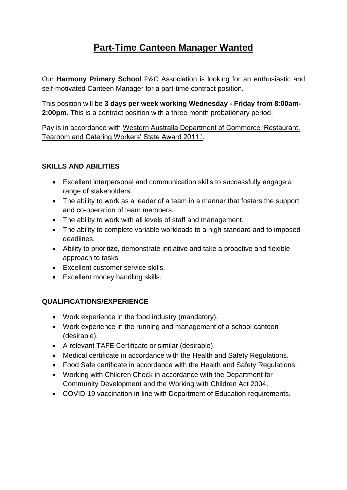## **Part-Time Canteen Manager Wanted**

Our **Harmony Primary School** P&C Association is looking for an enthusiastic and self-motivated Canteen Manager for a part-time contract position.

This position will be **3 days per week working Wednesday - Friday from 8:00am-2:00pm.** This is a contract position with a three month probationary period.

Pay is in accordance with Western Australia Department of Commerce 'Restaurant, Tearoom and Catering Workers' State Award 2011.'.

## **SKILLS AND ABILITIES**

- Excellent interpersonal and communication skills to successfully engage a range of stakeholders.
- The ability to work as a leader of a team in a manner that fosters the support and co-operation of team members.
- The ability to work with all levels of staff and management.
- The ability to complete variable workloads to a high standard and to imposed deadlines.
- Ability to prioritize, demonstrate initiative and take a proactive and flexible approach to tasks.
- Excellent customer service skills.
- Excellent money handling skills.

## **QUALIFICATIONS/EXPERIENCE**

- Work experience in the food industry (mandatory).
- Work experience in the running and management of a school canteen (desirable).
- A relevant TAFE Certificate or similar (desirable).
- Medical certificate in accordance with the Health and Safety Regulations.
- Food Safe certificate in accordance with the Health and Safety Regulations.
- Working with Children Check in accordance with the Department for Community Development and the Working with Children Act 2004.
- COVID-19 vaccination in line with Department of Education requirements.